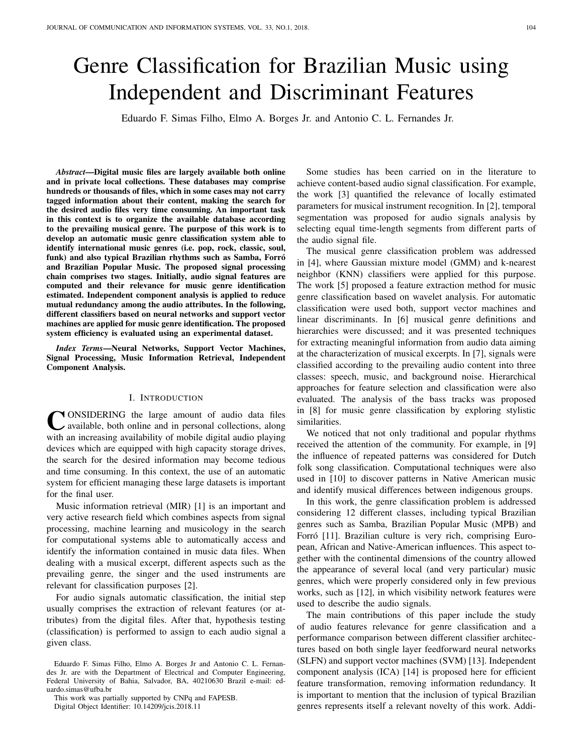# Genre Classification for Brazilian Music using Independent and Discriminant Features

Eduardo F. Simas Filho, Elmo A. Borges Jr. and Antonio C. L. Fernandes Jr.

*Abstract*—Digital music files are largely available both online and in private local collections. These databases may comprise hundreds or thousands of files, which in some cases may not carry tagged information about their content, making the search for the desired audio files very time consuming. An important task in this context is to organize the available database according to the prevailing musical genre. The purpose of this work is to develop an automatic music genre classification system able to identify international music genres (i.e. pop, rock, classic, soul, funk) and also typical Brazilian rhythms such as Samba, Forró and Brazilian Popular Music. The proposed signal processing chain comprises two stages. Initially, audio signal features are computed and their relevance for music genre identification estimated. Independent component analysis is applied to reduce mutual redundancy among the audio attributes. In the following, different classifiers based on neural networks and support vector machines are applied for music genre identification. The proposed system efficiency is evaluated using an experimental dataset.

*Index Terms*—Neural Networks, Support Vector Machines, Signal Processing, Music Information Retrieval, Independent Component Analysis.

# I. INTRODUCTION

CONSIDERING the large amount of audio data files available, both online and in personal collections, along with an increasing availability of mobile digital audio playing **NONSIDERING** the large amount of audio data files available, both online and in personal collections, along devices which are equipped with high capacity storage drives, the search for the desired information may become tedious and time consuming. In this context, the use of an automatic system for efficient managing these large datasets is important for the final user.

Music information retrieval (MIR) [1] is an important and very active research field which combines aspects from signal processing, machine learning and musicology in the search for computational systems able to automatically access and identify the information contained in music data files. When dealing with a musical excerpt, different aspects such as the prevailing genre, the singer and the used instruments are relevant for classification purposes [2].

For audio signals automatic classification, the initial step usually comprises the extraction of relevant features (or attributes) from the digital files. After that, hypothesis testing (classification) is performed to assign to each audio signal a given class.

Eduardo F. Simas Filho, Elmo A. Borges Jr and Antonio C. L. Fernandes Jr. are with the Department of Electrical and Computer Engineering, Federal University of Bahia, Salvador, BA, 40210630 Brazil e-mail: eduardo.simas@ufba.br

This work was partially supported by CNPq and FAPESB. Digital Object Identifier: 10.14209/jcis.2018.11

Some studies has been carried on in the literature to achieve content-based audio signal classification. For example, the work [3] quantified the relevance of locally estimated parameters for musical instrument recognition. In [2], temporal segmentation was proposed for audio signals analysis by selecting equal time-length segments from different parts of the audio signal file.

The musical genre classification problem was addressed in [4], where Gaussian mixture model (GMM) and k-nearest neighbor (KNN) classifiers were applied for this purpose. The work [5] proposed a feature extraction method for music genre classification based on wavelet analysis. For automatic classification were used both, support vector machines and linear discriminants. In [6] musical genre definitions and hierarchies were discussed; and it was presented techniques for extracting meaningful information from audio data aiming at the characterization of musical excerpts. In [7], signals were classified according to the prevailing audio content into three classes: speech, music, and background noise. Hierarchical approaches for feature selection and classification were also evaluated. The analysis of the bass tracks was proposed in [8] for music genre classification by exploring stylistic similarities.

We noticed that not only traditional and popular rhythms received the attention of the community. For example, in [9] the influence of repeated patterns was considered for Dutch folk song classification. Computational techniques were also used in [10] to discover patterns in Native American music and identify musical differences between indigenous groups.

In this work, the genre classification problem is addressed considering 12 different classes, including typical Brazilian genres such as Samba, Brazilian Popular Music (MPB) and Forró [11]. Brazilian culture is very rich, comprising European, African and Native-American influences. This aspect together with the continental dimensions of the country allowed the appearance of several local (and very particular) music genres, which were properly considered only in few previous works, such as [12], in which visibility network features were used to describe the audio signals.

The main contributions of this paper include the study of audio features relevance for genre classification and a performance comparison between different classifier architectures based on both single layer feedforward neural networks (SLFN) and support vector machines (SVM) [13]. Independent component analysis (ICA) [14] is proposed here for efficient feature transformation, removing information redundancy. It is important to mention that the inclusion of typical Brazilian genres represents itself a relevant novelty of this work. Addi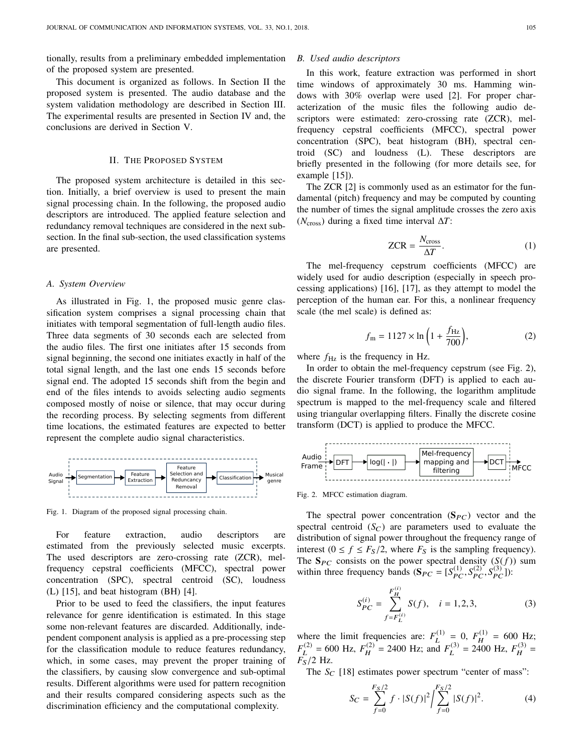tionally, results from a preliminary embedded implementation of the proposed system are presented.

This document is organized as follows. In Section II the proposed system is presented. The audio database and the system validation methodology are described in Section III. The experimental results are presented in Section IV and, the conclusions are derived in Section V.

#### II. THE PROPOSED SYSTEM

The proposed system architecture is detailed in this section. Initially, a brief overview is used to present the main signal processing chain. In the following, the proposed audio descriptors are introduced. The applied feature selection and redundancy removal techniques are considered in the next subsection. In the final sub-section, the used classification systems are presented.

# *A. System Overview*

As illustrated in Fig. 1, the proposed music genre classification system comprises a signal processing chain that initiates with temporal segmentation of full-length audio files. Three data segments of 30 seconds each are selected from the audio files. The first one initiates after 15 seconds from signal beginning, the second one initiates exactly in half of the total signal length, and the last one ends 15 seconds before signal end. The adopted 15 seconds shift from the begin and end of the files intends to avoids selecting audio segments composed mostly of noise or silence, that may occur during the recording process. By selecting segments from different time locations, the estimated features are expected to better represent the complete audio signal characteristics.



Fig. 1. Diagram of the proposed signal processing chain.

For feature extraction, audio descriptors are estimated from the previously selected music excerpts. The used descriptors are zero-crossing rate (ZCR), melfrequency cepstral coefficients (MFCC), spectral power concentration (SPC), spectral centroid (SC), loudness (L) [15], and beat histogram (BH) [4].

Prior to be used to feed the classifiers, the input features relevance for genre identification is estimated. In this stage some non-relevant features are discarded. Additionally, independent component analysis is applied as a pre-processing step for the classification module to reduce features redundancy, which, in some cases, may prevent the proper training of the classifiers, by causing slow convergence and sub-optimal results. Different algorithms were used for pattern recognition and their results compared considering aspects such as the discrimination efficiency and the computational complexity.

## *B. Used audio descriptors*

In this work, feature extraction was performed in short time windows of approximately 30 ms. Hamming windows with 30% overlap were used [2]. For proper characterization of the music files the following audio descriptors were estimated: zero-crossing rate (ZCR), melfrequency cepstral coefficients (MFCC), spectral power concentration (SPC), beat histogram (BH), spectral centroid (SC) and loudness (L). These descriptors are briefly presented in the following (for more details see, for example [15]).

The ZCR [2] is commonly used as an estimator for the fundamental (pitch) frequency and may be computed by counting the number of times the signal amplitude crosses the zero axis (*N*cross) during a fixed time interval ∆*T*:

$$
ZCR = \frac{N_{\text{cross}}}{\Delta T}.
$$
 (1)

The mel-frequency cepstrum coefficients (MFCC) are widely used for audio description (especially in speech processing applications) [16], [17], as they attempt to model the perception of the human ear. For this, a nonlinear frequency scale (the mel scale) is defined as:

$$
f_{\rm m} = 1127 \times \ln\left(1 + \frac{f_{\rm Hz}}{700}\right),\tag{2}
$$

where  $f_{\text{Hz}}$  is the frequency in Hz.

In order to obtain the mel-frequency cepstrum (see Fig. 2), the discrete Fourier transform (DFT) is applied to each audio signal frame. In the following, the logarithm amplitude spectrum is mapped to the mel-frequency scale and filtered using triangular overlapping filters. Finally the discrete cosine transform (DCT) is applied to produce the MFCC.



Fig. 2. MFCC estimation diagram.

The spectral power concentration  $(S_{PC})$  vector and the spectral centroid  $(S_C)$  are parameters used to evaluate the distribution of signal power throughout the frequency range of interest  $(0 \le f \le F_S/2$ , where  $F_S$  is the sampling frequency). The  $S_{PC}$  consists on the power spectral density  $(S(f))$  sum within three frequency bands  $(S_{PC} = [S_{PC}^{(1)}, S_{PC}^{(2)}, S_{PC}^{(3)}])$ :

$$
S_{PC}^{(i)} = \sum_{f=F_L^{(i)}}^{F_H^{(i)}} S(f), \quad i = 1, 2, 3,
$$
 (3)

where the limit frequencies are:  $F_I^{(1)}$  $L^{(1)} = 0, F_H^{(1)}$  $H_H^{(1)} = 600$  Hz;  $F_I^{(2)}$  $L^{(2)}$  = 600 Hz,  $F_H^{(2)}$  $H_H^{(2)} = 2400$  Hz; and  $F_L^{(3)}$  $L^{(3)} = 2400$  Hz,  $F_H^{(3)}$  $H^{(3)} =$  $F<sub>S</sub>/2$  Hz.

The  $S_C$  [18] estimates power spectrum "center of mass":

$$
S_C = \sum_{f=0}^{F_S/2} f \cdot |S(f)|^2 / \sum_{f=0}^{F_S/2} |S(f)|^2.
$$
 (4)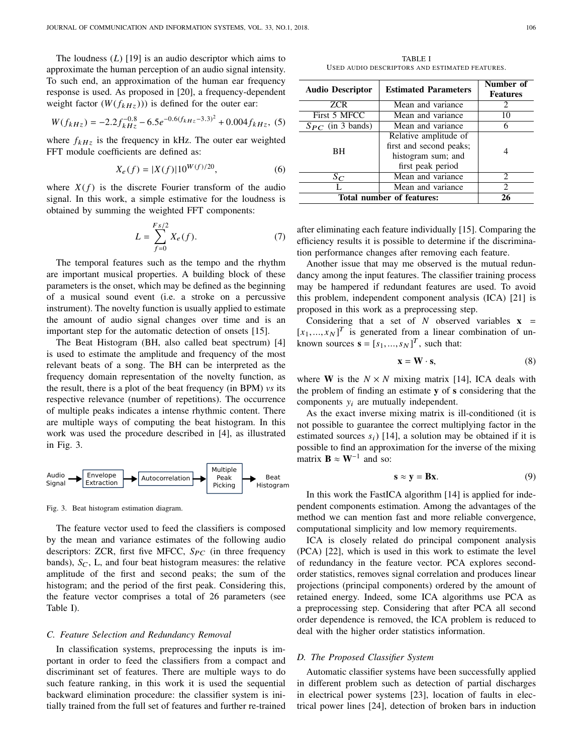The loudness (*L*) [19] is an audio descriptor which aims to approximate the human perception of an audio signal intensity. To such end, an approximation of the human ear frequency response is used. As proposed in [20], a frequency-dependent weight factor  $(W(f_{kHz}))$  is defined for the outer ear:

$$
W(f_{kHz}) = -2.2f_{kHz}^{-0.8} - 6.5e^{-0.6(f_{kHz} - 3.3)^2} + 0.004f_{kHz},
$$
 (5)

where  $f_{kHz}$  is the frequency in kHz. The outer ear weighted FFT module coefficients are defined as:

$$
X_e(f) = |X(f)| 10^{W(f)/20},\tag{6}
$$

where  $X(f)$  is the discrete Fourier transform of the audio signal. In this work, a simple estimative for the loudness is obtained by summing the weighted FFT components:

$$
L = \sum_{f=0}^{F_s/2} X_e(f).
$$
 (7)

The temporal features such as the tempo and the rhythm are important musical properties. A building block of these parameters is the onset, which may be defined as the beginning of a musical sound event (i.e. a stroke on a percussive instrument). The novelty function is usually applied to estimate the amount of audio signal changes over time and is an important step for the automatic detection of onsets [15].

The Beat Histogram (BH, also called beat spectrum) [4] is used to estimate the amplitude and frequency of the most relevant beats of a song. The BH can be interpreted as the frequency domain representation of the novelty function, as the result, there is a plot of the beat frequency (in BPM) *vs* its respective relevance (number of repetitions). The occurrence of multiple peaks indicates a intense rhythmic content. There are multiple ways of computing the beat histogram. In this work was used the procedure described in [4], as illustrated in Fig. 3.



Fig. 3. Beat histogram estimation diagram.

The feature vector used to feed the classifiers is composed by the mean and variance estimates of the following audio descriptors: ZCR, first five MFCC,  $S_{PC}$  (in three frequency bands),  $S_C$ , L, and four beat histogram measures: the relative amplitude of the first and second peaks; the sum of the histogram; and the period of the first peak. Considering this, the feature vector comprises a total of 26 parameters (see Table I).

#### *C. Feature Selection and Redundancy Removal*

In classification systems, preprocessing the inputs is important in order to feed the classifiers from a compact and discriminant set of features. There are multiple ways to do such feature ranking, in this work it is used the sequential backward elimination procedure: the classifier system is initially trained from the full set of features and further re-trained

TABLE I USED AUDIO DESCRIPTORS AND ESTIMATED FEATURES.

| <b>Audio Descriptor</b>   | <b>Estimated Parameters</b>                                                                 | Number of<br><b>Features</b> |
|---------------------------|---------------------------------------------------------------------------------------------|------------------------------|
| <b>ZCR</b>                | Mean and variance                                                                           | 2                            |
| First 5 MFCC              | Mean and variance                                                                           | 10                           |
| $S_{PC}$ (in 3 bands)     | Mean and variance                                                                           | 6                            |
| <b>BH</b>                 | Relative amplitude of<br>first and second peaks;<br>histogram sum; and<br>first peak period |                              |
| $S_C$                     | Mean and variance                                                                           | 2                            |
|                           | Mean and variance                                                                           | $\mathcal{D}_{\mathcal{L}}$  |
| Total number of features: | 26                                                                                          |                              |

after eliminating each feature individually [15]. Comparing the efficiency results it is possible to determine if the discrimination performance changes after removing each feature.

Another issue that may me observed is the mutual redundancy among the input features. The classifier training process may be hampered if redundant features are used. To avoid this problem, independent component analysis (ICA) [21] is proposed in this work as a preprocessing step.

Considering that a set of  $N$  observed variables  $x =$  $[x_1,...,x_N]^T$  is generated from a linear combination of un-<br>known sources  $s = [s_1, s_2]^T$  such that: known sources  $\mathbf{s} = [s_1, ..., s_N]^T$ , such that:

$$
\mathbf{x} = \mathbf{W} \cdot \mathbf{s},\tag{8}
$$

where **W** is the  $N \times N$  mixing matrix [14], ICA deals with the problem of finding an estimate y of s considering that the components  $y_i$  are mutually independent.

As the exact inverse mixing matrix is ill-conditioned (it is not possible to guarantee the correct multiplying factor in the estimated sources  $s_i$ ) [14], a solution may be obtained if it is possible to find an approximation for the inverse of the mixing matrix  $\mathbf{B} \approx \mathbf{W}^{-1}$  and so:

$$
\mathbf{s} \approx \mathbf{y} = \mathbf{B}\mathbf{x}.\tag{9}
$$

In this work the FastICA algorithm [14] is applied for independent components estimation. Among the advantages of the method we can mention fast and more reliable convergence, computational simplicity and low memory requirements.

ICA is closely related do principal component analysis (PCA) [22], which is used in this work to estimate the level of redundancy in the feature vector. PCA explores secondorder statistics, removes signal correlation and produces linear projections (principal components) ordered by the amount of retained energy. Indeed, some ICA algorithms use PCA as a preprocessing step. Considering that after PCA all second order dependence is removed, the ICA problem is reduced to deal with the higher order statistics information.

## *D. The Proposed Classifier System*

Automatic classifier systems have been successfully applied in different problem such as detection of partial discharges in electrical power systems [23], location of faults in electrical power lines [24], detection of broken bars in induction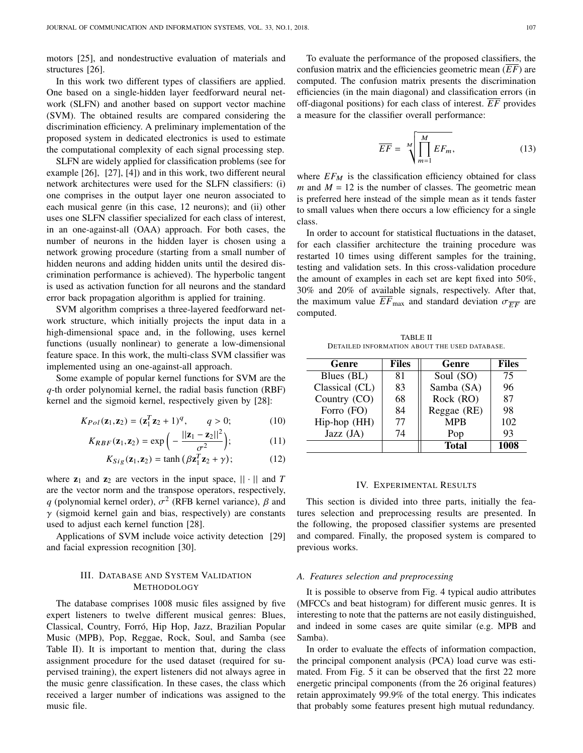motors [25], and nondestructive evaluation of materials and structures [26].

In this work two different types of classifiers are applied. One based on a single-hidden layer feedforward neural network (SLFN) and another based on support vector machine (SVM). The obtained results are compared considering the discrimination efficiency. A preliminary implementation of the proposed system in dedicated electronics is used to estimate the computational complexity of each signal processing step.

SLFN are widely applied for classification problems (see for example [26], [27], [4]) and in this work, two different neural network architectures were used for the SLFN classifiers: (i) one comprises in the output layer one neuron associated to each musical genre (in this case, 12 neurons); and (ii) other uses one SLFN classifier specialized for each class of interest, in an one-against-all (OAA) approach. For both cases, the number of neurons in the hidden layer is chosen using a network growing procedure (starting from a small number of hidden neurons and adding hidden units until the desired discrimination performance is achieved). The hyperbolic tangent is used as activation function for all neurons and the standard error back propagation algorithm is applied for training.

SVM algorithm comprises a three-layered feedforward network structure, which initially projects the input data in a high-dimensional space and, in the following, uses kernel functions (usually nonlinear) to generate a low-dimensional feature space. In this work, the multi-class SVM classifier was implemented using an one-against-all approach.

Some example of popular kernel functions for SVM are the *q*-th order polynomial kernel, the radial basis function (RBF) kernel and the sigmoid kernel, respectively given by [28]:

$$
K_{Pol}(\mathbf{z}_1, \mathbf{z}_2) = (\mathbf{z}_1^T \mathbf{z}_2 + 1)^q, \qquad q > 0; \tag{10}
$$

$$
K_{RBF}(\mathbf{z}_1, \mathbf{z}_2) = \exp\left(-\frac{||\mathbf{z}_1 - \mathbf{z}_2||^2}{\sigma^2}\right);
$$
(11)  

$$
K_{C}(\mathbf{z}_1, \mathbf{z}_2) = \tanh\left(\beta \mathbf{z}_1^T \mathbf{z}_2 + \gamma\right);
$$
(12)

$$
K_{Sig}(\mathbf{z}_1, \mathbf{z}_2) = \tanh\left(\beta \mathbf{z}_1^T \mathbf{z}_2 + \gamma\right); \tag{12}
$$

where  $z_1$  and  $z_2$  are vectors in the input space,  $|| \cdot ||$  and *T* are the vector norm and the transpose operators, respectively, *q* (polynomial kernel order),  $\sigma^2$  (RFB kernel variance),  $\beta$  and  $\gamma$  (sigmoid kernel gain and bias, respectively) are constants  $\gamma$  (sigmoid kernel gain and bias, respectively) are constants used to adjust each kernel function [28].

Applications of SVM include voice activity detection [29] and facial expression recognition [30].

# III. DATABASE AND SYSTEM VALIDATION METHODOLOGY

The database comprises 1008 music files assigned by five expert listeners to twelve different musical genres: Blues, Classical, Country, Forró, Hip Hop, Jazz, Brazilian Popular Music (MPB), Pop, Reggae, Rock, Soul, and Samba (see Table II). It is important to mention that, during the class assignment procedure for the used dataset (required for supervised training), the expert listeners did not always agree in the music genre classification. In these cases, the class which received a larger number of indications was assigned to the music file.

To evaluate the performance of the proposed classifiers, the confusion matrix and the efficiencies geometric mean (*EF*) are computed. The confusion matrix presents the discrimination efficiencies (in the main diagonal) and classification errors (in off-diagonal positions) for each class of interest. *EF* provides a measure for the classifier overall performance:

$$
\overline{EF} = \sqrt[M]{\prod_{m=1}^{M} EF_m},\tag{13}
$$

where  $EF_M$  is the classification efficiency obtained for class *m* and  $M = 12$  is the number of classes. The geometric mean is preferred here instead of the simple mean as it tends faster to small values when there occurs a low efficiency for a single class.

In order to account for statistical fluctuations in the dataset, for each classifier architecture the training procedure was restarted 10 times using different samples for the training, testing and validation sets. In this cross-validation procedure the amount of examples in each set are kept fixed into 50%, 30% and 20% of available signals, respectively. After that, the maximum value  $\overline{EF}_{\text{max}}$  and standard deviation  $\sigma_{\overline{EF}}$  are computed.

TABLE II DETAILED INFORMATION ABOUT THE USED DATABASE.

| Genre          | <b>Files</b> | Genre       | <b>Files</b> |
|----------------|--------------|-------------|--------------|
| Blues (BL)     | 81           | Soul (SO)   | 75           |
| Classical (CL) | 83           | Samba (SA)  | 96           |
| Country (CO)   | 68           | Rock (RO)   | 87           |
| Forro (FO)     | 84           | Reggae (RE) | 98           |
| Hip-hop (HH)   | 77           | <b>MPB</b>  | 102          |
| Jazz (JA)      | 74           | Pop         | 93           |
|                |              | Total       | 1008         |

#### IV. EXPERIMENTAL RESULTS

This section is divided into three parts, initially the features selection and preprocessing results are presented. In the following, the proposed classifier systems are presented and compared. Finally, the proposed system is compared to previous works.

#### *A. Features selection and preprocessing*

It is possible to observe from Fig. 4 typical audio attributes (MFCCs and beat histogram) for different music genres. It is interesting to note that the patterns are not easily distinguished, and indeed in some cases are quite similar (e.g. MPB and Samba).

In order to evaluate the effects of information compaction, the principal component analysis (PCA) load curve was estimated. From Fig. 5 it can be observed that the first 22 more energetic principal components (from the 26 original features) retain approximately 99.9% of the total energy. This indicates that probably some features present high mutual redundancy.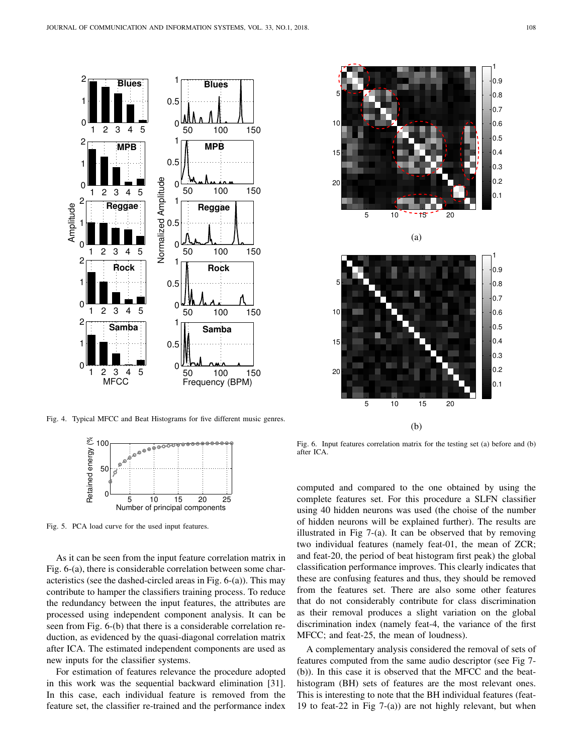

Fig. 4. Typical MFCC and Beat Histograms for five different music genres.



Fig. 5. PCA load curve for the used input features.

As it can be seen from the input feature correlation matrix in Fig. 6-(a), there is considerable correlation between some characteristics (see the dashed-circled areas in Fig. 6-(a)). This may contribute to hamper the classifiers training process. To reduce the redundancy between the input features, the attributes are processed using independent component analysis. It can be seen from Fig. 6-(b) that there is a considerable correlation reduction, as evidenced by the quasi-diagonal correlation matrix after ICA. The estimated independent components are used as new inputs for the classifier systems.

For estimation of features relevance the procedure adopted in this work was the sequential backward elimination [31]. In this case, each individual feature is removed from the feature set, the classifier re-trained and the performance index



Fig. 6. Input features correlation matrix for the testing set (a) before and (b) after ICA.

computed and compared to the one obtained by using the complete features set. For this procedure a SLFN classifier using 40 hidden neurons was used (the choise of the number of hidden neurons will be explained further). The results are illustrated in Fig 7-(a). It can be observed that by removing two individual features (namely feat-01, the mean of ZCR; and feat-20, the period of beat histogram first peak) the global classification performance improves. This clearly indicates that these are confusing features and thus, they should be removed from the features set. There are also some other features that do not considerably contribute for class discrimination as their removal produces a slight variation on the global discrimination index (namely feat-4, the variance of the first MFCC; and feat-25, the mean of loudness).

A complementary analysis considered the removal of sets of features computed from the same audio descriptor (see Fig 7- (b)). In this case it is observed that the MFCC and the beathistogram (BH) sets of features are the most relevant ones. This is interesting to note that the BH individual features (feat-19 to feat-22 in Fig 7-(a)) are not highly relevant, but when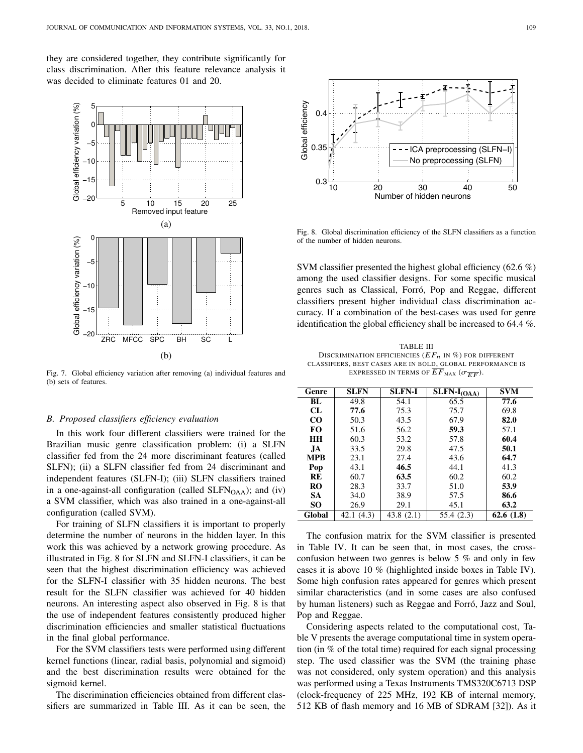they are considered together, they contribute significantly for class discrimination. After this feature relevance analysis it was decided to eliminate features 01 and 20.



Fig. 7. Global efficiency variation after removing (a) individual features and (b) sets of features.

## *B. Proposed classifiers efficiency evaluation*

In this work four different classifiers were trained for the Brazilian music genre classification problem: (i) a SLFN classifier fed from the 24 more discriminant features (called SLFN); (ii) a SLFN classifier fed from 24 discriminant and independent features (SLFN-I); (iii) SLFN classifiers trained in a one-against-all configuration (called SLFN<sub>OAA</sub>); and (iv) a SVM classifier, which was also trained in a one-against-all configuration (called SVM).

For training of SLFN classifiers it is important to properly determine the number of neurons in the hidden layer. In this work this was achieved by a network growing procedure. As illustrated in Fig. 8 for SLFN and SLFN-I classifiers, it can be seen that the highest discrimination efficiency was achieved for the SLFN-I classifier with 35 hidden neurons. The best result for the SLFN classifier was achieved for 40 hidden neurons. An interesting aspect also observed in Fig. 8 is that the use of independent features consistently produced higher discrimination efficiencies and smaller statistical fluctuations in the final global performance.

For the SVM classifiers tests were performed using different kernel functions (linear, radial basis, polynomial and sigmoid) and the best discrimination results were obtained for the sigmoid kernel.

The discrimination efficiencies obtained from different clas-



Fig. 8. Global discrimination efficiency of the SLFN classifiers as a function of the number of hidden neurons.

SVM classifier presented the highest global efficiency (62.6 %) among the used classifier designs. For some specific musical genres such as Classical, Forró, Pop and Reggae, different classifiers present higher individual class discrimination accuracy. If a combination of the best-cases was used for genre identification the global efficiency shall be increased to 64.4 %.

TABLE III DISCRIMINATION EFFICIENCIES  $(EF_n$  IN  $\%)$  FOR DIFFERENT CLASSIFIERS, BEST CASES ARE IN BOLD, GLOBAL PERFORMANCE IS EXPRESSED IN TERMS OF  $\overline{EF}_{\text{MAX}}$  ( $\sigma_{\overline{EF}}$ ).

| Genre      | <b>SLFN</b>   | <b>SLFN-I</b> | $\overline{\text{SLFN-}I_{\text{(OAA)}}}$ | SVM       |
|------------|---------------|---------------|-------------------------------------------|-----------|
| BL         | 49.8          | 54.1          | 65.5                                      | 77.6      |
| CL         | 77.6          | 75.3          | 75.7                                      | 69.8      |
| $\rm CO$   | 50.3          | 43.5          | 67.9                                      | 82.0      |
| FO         | 51.6          | 56.2          | 59.3                                      | 57.1      |
| <b>HH</b>  | 60.3          | 53.2          | 57.8                                      | 60.4      |
| JA.        | 33.5          | 29.8          | 47.5                                      | 50.1      |
| <b>MPB</b> | 23.1          | 27.4          | 43.6                                      | 64.7      |
| Pop        | 43.1          | 46.5          | 44.1                                      | 41.3      |
| RE         | 60.7          | 63.5          | 60.2                                      | 60.2      |
| <b>RO</b>  | 28.3          | 33.7          | 51.0                                      | 53.9      |
| <b>SA</b>  | 34.0          | 38.9          | 57.5                                      | 86.6      |
| SO.        | 26.9          | 29.1          | 45.1                                      | 63.2      |
| Global     | (4.3)<br>42.1 | 43.8 (2.1)    | 55.4 (2.3)                                | 62.6(1.8) |

The confusion matrix for the SVM classifier is presented in Table IV. It can be seen that, in most cases, the crossconfusion between two genres is below 5  $\%$  and only in few cases it is above 10 % (highlighted inside boxes in Table IV). Some high confusion rates appeared for genres which present similar characteristics (and in some cases are also confused by human listeners) such as Reggae and Forró, Jazz and Soul, Pop and Reggae.

Considering aspects related to the computational cost, Table V presents the average computational time in system operation (in % of the total time) required for each signal processing step. The used classifier was the SVM (the training phase was not considered, only system operation) and this analysis was performed using a Texas Instruments TMS320C6713 DSP (clock-frequency of 225 MHz, 192 KB of internal memory, 512 KB of flash memory and 16 MB of SDRAM [32]). As it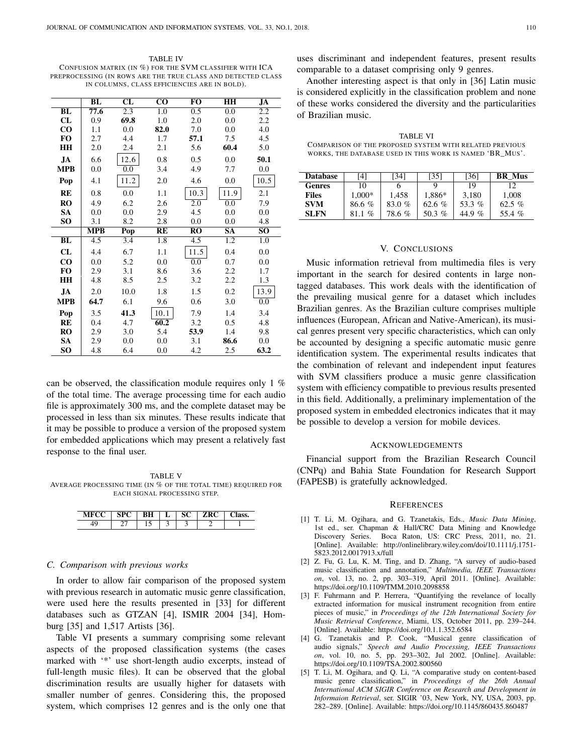TABLE IV CONFUSION MATRIX (IN %) FOR THE SVM CLASSIFIER WITH ICA PREPROCESSING (IN ROWS ARE THE TRUE CLASS AND DETECTED CLASS IN COLUMNS, CLASS EFFICIENCIES ARE IN BOLD).

|                 | BL               | $\overline{\text{CL}}$    | $\overline{\mathrm{co}}$ | $\overline{\text{FO}}$ | HH                     | JA                     |
|-----------------|------------------|---------------------------|--------------------------|------------------------|------------------------|------------------------|
| BL              | 77.6             | 2.3                       | 1.0                      | 0.5                    | 0.0                    | 2.2                    |
| CL              | 0.9              | 69.8                      | 1.0                      | 2.0                    | 0.0                    | 2.2                    |
| $\bf CO$        | 1.1              | 0.0                       | 82.0                     | 7.0                    | 0.0                    | 4.0                    |
| FO              | 2.7              | 4.4                       | 1.7                      | 57.1                   | 7.5                    | 4.5                    |
| HH              | 2.0              | 2.4                       | 2.1                      | 5.6                    | 60.4                   | 5.0                    |
| JA.             | 6.6              | 12.6                      | 0.8                      | 0.5                    | 0.0                    | 50.1                   |
| <b>MPB</b>      | 0.0              | 0.0                       | 3.4                      | 4.9                    | 7.7                    | 0.0                    |
| Pop             | 4.1              | 11.2                      | 2.0                      | 4.6                    | 0.0                    | 10.5                   |
| <b>RE</b>       | 0.8              | 0.0                       | 1.1                      | 10.3                   | 11.9                   | 2.1                    |
| <b>RO</b>       | 4.9              | 6.2                       | 2.6                      | 2.0                    | 0.0                    | 7.9                    |
| <b>SA</b>       | 0.0              | 0.0                       | 2.9                      | 4.5                    | 0.0                    | 0.0                    |
| SO              | 3.1              | 8.2                       | 2.8                      | 0.0                    | 0.0                    | 4.8                    |
|                 | <b>MPB</b>       | $\overline{\mathbf{Pop}}$ | RE                       | $\overline{RO}$        | $\overline{\text{SA}}$ | $\overline{\text{SO}}$ |
|                 |                  |                           |                          |                        |                        |                        |
| BL              | $\overline{4.5}$ | 3.4                       | 1.8                      | 4.5                    | 1.2                    | 1.0                    |
| CL              | 4.4              | 6.7                       | 1.1                      | 11.5                   | 0.4                    | 0.0                    |
| $\bf CO$        | 0.0              | 5.2                       | 0.0                      | 0.0                    | 0.7                    | 0.0                    |
| FO              | 2.9              | 3.1                       | 8.6                      | 3.6                    | 2.2                    | 1.7                    |
| HH              | 4.8              | 8.5                       | 2.5                      | 3.2                    | 2.2                    | 1.3                    |
| JA.             | 2.0              | 10.0                      | 1.8                      | 1.5                    | 0.2                    | 13.9                   |
| <b>MPB</b>      | 64.7             | 6.1                       | 9.6                      | 0.6                    | 3.0                    | 0.0                    |
| Pop             | 3.5              | 41.3                      | 10.1                     | 7.9                    | 1.4                    | 3.4                    |
| <b>RE</b>       | 0.4              | 4.7                       | 60.2                     | 3.2                    | 0.5                    | 4.8                    |
| <b>RO</b>       | 2.9              | 3.0                       | 5.4                      | 53.9                   | 1.4                    | 9.8                    |
| <b>SA</b><br>SO | 2.9              | 0.0                       | 0.0                      | 3.1                    | 86.6                   | 0.0<br>63.2            |

can be observed, the classification module requires only 1 % of the total time. The average processing time for each audio file is approximately 300 ms, and the complete dataset may be processed in less than six minutes. These results indicate that it may be possible to produce a version of the proposed system for embedded applications which may present a relatively fast response to the final user.

TABLE V AVERAGE PROCESSING TIME (IN % OF THE TOTAL TIME) REQUIRED FOR EACH SIGNAL PROCESSING STEP.

|  |       | ┻ |   |  |
|--|-------|---|---|--|
|  | -<br> |   | ∽ |  |

## *C. Comparison with previous works*

In order to allow fair comparison of the proposed system with previous research in automatic music genre classification, were used here the results presented in [33] for different databases such as GTZAN [4], ISMIR 2004 [34], Homburg [35] and 1,517 Artists [36].

Table VI presents a summary comprising some relevant aspects of the proposed classification systems (the cases marked with '\*' use short-length audio excerpts, instead of full-length music files). It can be observed that the global discrimination results are usually higher for datasets with smaller number of genres. Considering this, the proposed system, which comprises 12 genres and is the only one that uses discriminant and independent features, present results comparable to a dataset comprising only 9 genres.

Another interesting aspect is that only in [36] Latin music is considered explicitly in the classification problem and none of these works considered the diversity and the particularities of Brazilian music.

TABLE VI COMPARISON OF THE PROPOSED SYSTEM WITH RELATED PREVIOUS WORKS, THE DATABASE USED IN THIS WORK IS NAMED 'BR\_MUS'.

| <b>Database</b> | [4]      | [34]   | [35]     | [36]   | <b>BR</b> Mus |
|-----------------|----------|--------|----------|--------|---------------|
| <b>Genres</b>   | 10       |        | Q        | 19     | 12            |
| <b>Files</b>    | $1.000*$ | 1.458  | 1.886*   | 3.180  | 1.008         |
| <b>SVM</b>      | 86.6 $%$ | 83.0 % | 62.6 $%$ | 53.3%  | 62.5 %        |
| <b>SLFN</b>     | $\%$     | 78.6%  | 50.3 $%$ | 44.9 % | $\%$<br>55.4  |

# V. CONCLUSIONS

Music information retrieval from multimedia files is very important in the search for desired contents in large nontagged databases. This work deals with the identification of the prevailing musical genre for a dataset which includes Brazilian genres. As the Brazilian culture comprises multiple influences (European, African and Native-American), its musical genres present very specific characteristics, which can only be accounted by designing a specific automatic music genre identification system. The experimental results indicates that the combination of relevant and independent input features with SVM classifiers produce a music genre classification system with efficiency compatible to previous results presented in this field. Additionally, a preliminary implementation of the proposed system in embedded electronics indicates that it may be possible to develop a version for mobile devices.

#### ACKNOWLEDGEMENTS

Financial support from the Brazilian Research Council (CNPq) and Bahia State Foundation for Research Support (FAPESB) is gratefully acknowledged.

#### **REFERENCES**

- [1] T. Li, M. Ogihara, and G. Tzanetakis, Eds., *Music Data Mining*, 1st ed., ser. Chapman & Hall/CRC Data Mining and Knowledge Discovery Series. Boca Raton, US: CRC Press, 2011, no. 21. [Online]. Available: http://onlinelibrary.wiley.com/doi/10.1111/j.1751- 5823.2012.0017913.x/full
- [2] Z. Fu, G. Lu, K. M. Ting, and D. Zhang, "A survey of audio-based music classification and annotation," *Multimedia, IEEE Transactions on*, vol. 13, no. 2, pp. 303–319, April 2011. [Online]. Available: https://doi.org/10.1109/TMM.2010.2098858
- [3] F. Fuhrmann and P. Herrera, "Quantifying the revelance of locally extracted information for musical instrument recognition from entire pieces of music," in *Proceedings of the 12th International Society for Music Retrieval Conference*, Miami, US, October 2011, pp. 239–244. [Online]. Available: https://doi.org/10.1.1.352.6584
- [4] G. Tzanetakis and P. Cook, "Musical genre classification of audio signals," *Speech and Audio Processing, IEEE Transactions on*, vol. 10, no. 5, pp. 293–302, Jul 2002. [Online]. Available: https://doi.org/10.1109/TSA.2002.800560
- [5] T. Li, M. Ogihara, and Q. Li, "A comparative study on content-based music genre classification," in *Proceedings of the 26th Annual International ACM SIGIR Conference on Research and Development in Informaion Retrieval*, ser. SIGIR '03, New York, NY, USA, 2003, pp. 282–289. [Online]. Available: https://doi.org/10.1145/860435.860487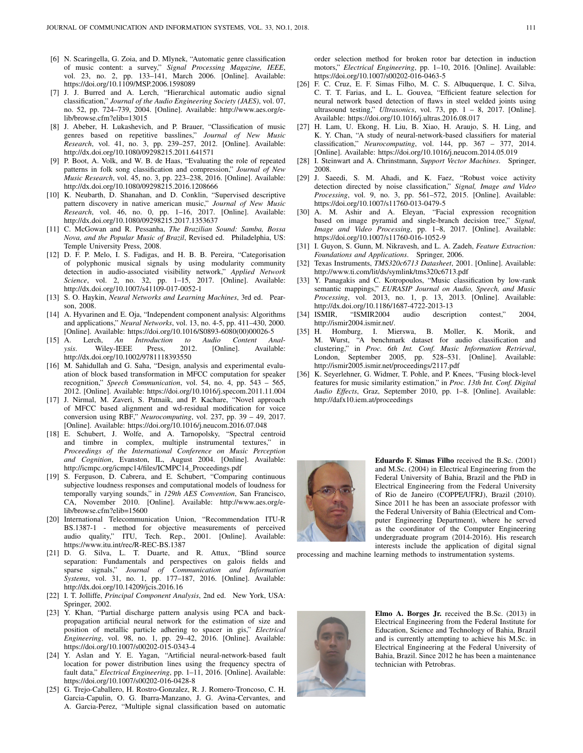- [6] N. Scaringella, G. Zoia, and D. Mlynek, "Automatic genre classification of music content: a survey," *Signal Processing Magazine, IEEE*, vol. 23, no. 2, pp. 133–141, March 2006. [Online]. Available: https://doi.org/10.1109/MSP.2006.1598089
- [7] J. J. Burred and A. Lerch, "Hierarchical automatic audio signal classification," *Journal of the Audio Engineering Society (JAES)*, vol. 07, no. 52, pp. 724–739, 2004. [Online]. Available: http://www.aes.org/elib/browse.cfm?elib=13015
- [8] J. Abeber, H. Lukashevich, and P. Brauer, "Classification of music genres based on repetitive basslines," *Journal of New Music Research*, vol. 41, no. 3, pp. 239–257, 2012. [Online]. Available: http://dx.doi.org/10.1080/09298215.2011.641571
- [9] P. Boot, A. Volk, and W. B. de Haas, "Evaluating the role of repeated patterns in folk song classification and compression," *Journal of New Music Research*, vol. 45, no. 3, pp. 223–238, 2016. [Online]. Available: http://dx.doi.org/10.1080/09298215.2016.1208666
- [10] K. Neubarth, D. Shanahan, and D. Conklin, "Supervised descriptive pattern discovery in native american music," *Journal of New Music Research*, vol. 46, no. 0, pp. 1–16, 2017. [Online]. Available: http://dx.doi.org/10.1080/09298215.2017.1353637
- [11] C. McGowan and R. Pessanha, *The Brazilian Sound: Samba, Bossa Nova, and the Popular Music of Brazil*, Revised ed. Philadelphia, US: Temple University Press, 2008.
- [12] D. F. P. Melo, I. S. Fadigas, and H. B. B. Pereira, "Categorisation of polyphonic musical signals by using modularity community detection in audio-associated visibility network," *Applied Network Science*, vol. 2, no. 32, pp. 1–15, 2017. [Online]. Available: http://dx.doi.org/10.1007/s41109-017-0052-1
- [13] S. O. Haykin, *Neural Networks and Learning Machines*, 3rd ed. Pearson, 2008.
- [14] A. Hyvarinen and E. Oja, "Independent component analysis: Algorithms and applications," *Neural Networks*, vol. 13, no. 4-5, pp. 411–430, 2000. [Online]. Available: https://doi.org/10.1016/S0893-6080(00)00026-5
- [15] A. Lerch, *An Introduction to Audio Content Anal-***Wiley-IEEE** http://dx.doi.org/10.1002/9781118393550
- [16] M. Sahidullah and G. Saha, "Design, analysis and experimental evaluation of block based transformation in MFCC computation for speaker recognition," *Speech Communication*, vol. 54, no. 4, pp. 543 – 565, 2012. [Online]. Available: https://doi.org/10.1016/j.specom.2011.11.004
- [17] J. Nirmal, M. Zaveri, S. Patnaik, and P. Kachare, "Novel approach of MFCC based alignment and wd-residual modification for voice conversion using RBF," *Neurocomputing*, vol. 237, pp. 39 – 49, 2017. [Online]. Available: https://doi.org/10.1016/j.neucom.2016.07.048
- [18] E. Schubert, J. Wolfe, and A. Tarnopolsky, "Spectral centroid and timbre in complex, multiple instrumental textures," in *Proceedings of the International Conference on Music Perception and Cognition*, Evanston, IL, August 2004. [Online]. Available: http://icmpc.org/icmpc14/files/ICMPC14\_Proceedings.pdf
- [19] S. Ferguson, D. Cabrera, and E. Schubert, "Comparing continuous subjective loudness responses and computational models of loudness for temporally varying sounds," in *129th AES Convention*, San Francisco, CA, November 2010. [Online]. Available: http://www.aes.org/elib/browse.cfm?elib=15600
- [20] International Telecommunication Union, "Recommendation ITU-R BS.1387-1 - method for objective measurements of perceived audio quality," ITU, Tech. Rep., 2001. [Online]. Available: https://www.itu.int/rec/R-REC-BS.1387
- [21] D. G. Silva, L. T. Duarte, and R. Attux, "Blind source separation: Fundamentals and perspectives on galois fields and sparse signals," *Journal of Communication and Information Systems*, vol. 31, no. 1, pp. 177–187, 2016. [Online]. Available: http://dx.doi.org/10.14209/jcis.2016.16
- [22] I. T. Jolliffe, *Principal Component Analysis*, 2nd ed. New York, USA: Springer, 2002.
- [23] Y. Khan, "Partial discharge pattern analysis using PCA and backpropagation artificial neural network for the estimation of size and position of metallic particle adhering to spacer in gis," *Electrical Engineering*, vol. 98, no. 1, pp. 29–42, 2016. [Online]. Available: https://doi.org/10.1007/s00202-015-0343-4
- [24] Y. Aslan and Y. E. Yagan, "Artificial neural-network-based fault location for power distribution lines using the frequency spectra of fault data," *Electrical Engineering*, pp. 1–11, 2016. [Online]. Available: https://doi.org/10.1007/s00202-016-0428-8
- [25] G. Trejo-Caballero, H. Rostro-Gonzalez, R. J. Romero-Troncoso, C. H. Garcia-Capulin, O. G. Ibarra-Manzano, J. G. Avina-Cervantes, and A. Garcia-Perez, "Multiple signal classification based on automatic

order selection method for broken rotor bar detection in induction motors," *Electrical Engineering*, pp. 1–10, 2016. [Online]. Available: https://doi.org/10.1007/s00202-016-0463-5

- [26] F. C. Cruz, E. F. Simas Filho, M. C. S. Albuquerque, I. C. Silva, C. T. T. Farias, and L. L. Gouvea, "Efficient feature selection for neural network based detection of flaws in steel welded joints using ultrasound testing," *Ultrasonics*, vol. 73, pp. 1 – 8, 2017. [Online]. Available: https://doi.org/10.1016/j.ultras.2016.08.017
- [27] H. Lam, U. Ekong, H. Liu, B. Xiao, H. Araujo, S. H. Ling, and K. Y. Chan, "A study of neural-network-based classifiers for material classification," *Neurocomputing*, vol. 144, pp. 367 – 377, 2014. [Online]. Available: https://doi.org/10.1016/j.neucom.2014.05.019
- [28] I. Steinwart and A. Chrinstmann, *Support Vector Machines*. Springer, 2008.
- [29] J. Saeedi, S. M. Ahadi, and K. Faez, "Robust voice activity detection directed by noise classification," *Signal, Image and Video Processing*, vol. 9, no. 3, pp. 561–572, 2015. [Online]. Available: https://doi.org/10.1007/s11760-013-0479-5
- [30] A. M. Ashir and A. Eleyan, "Facial expression recognition based on image pyramid and single-branch decision tree," *Signal, Image and Video Processing*, pp. 1–8, 2017. [Online]. Available: https://doi.org/10.1007/s11760-016-1052-9
- [31] I. Guyon, S. Gunn, M. Nikravesh, and L. A. Zadeh, *Feature Extraction: Foundations and Applications*. Springer, 2006.
- [32] Texas Instruments, *TMS320c6713 Datasheet*, 2001. [Online]. Available: http://www.ti.com/lit/ds/symlink/tms320c6713.pdf
- [33] Y. Panagakis and C. Kotropoulos, "Music classification by low-rank semantic mappings," *EURASIP Journal on Audio, Speech, and Music Processing*, vol. 2013, no. 1, p. 13, 2013. [Online]. Available: http://dx.doi.org/10.1186/1687-4722-2013-13
- [34] ISMIR, "ISMIR2004 audio description contest," 2004, http://ismir2004.ismir.net/.<br>[35] H. Homburg. I. Mi
- Homburg, I. Mierswa, B. Moller, K. Morik, and M. Wurst, "A benchmark dataset for audio classification and clustering," in *Proc. 6th Int. Conf. Music Information Retrieval*, London, September 2005, pp. 528–531. [Online]. Available: http://ismir2005.ismir.net/proceedings/2117.pdf
- [36] K. Seyerlehner, G. Widmer, T. Pohle, and P. Knees, "Fusing block-level features for music similarity estimation," in *Proc. 13th Int. Conf. Digital Audio Effects*, Graz, September 2010, pp. 1–8. [Online]. Available: http://dafx10.iem.at/proceedings



Eduardo F. Simas Filho received the B.Sc. (2001) and M.Sc. (2004) in Electrical Engineering from the Federal University of Bahia, Brazil and the PhD in Electrical Engineering from the Federal University of Rio de Janeiro (COPPE/UFRJ), Brazil (2010). Since 2011 he has been an associate professor with the Federal University of Bahia (Electrical and Computer Engineering Department), where he served as the coordinator of the Computer Engineering undergraduate program (2014-2016). His research interests include the application of digital signal

processing and machine learning methods to instrumentation systems.



Elmo A. Borges Jr. received the B.Sc. (2013) in Electrical Engineering from the Federal Institute for Education, Science and Technology of Bahia, Brazil and is currently attempting to achieve his M.Sc. in Electrical Engineering at the Federal University of Bahia, Brazil. Since 2012 he has been a maintenance technician with Petrobras.